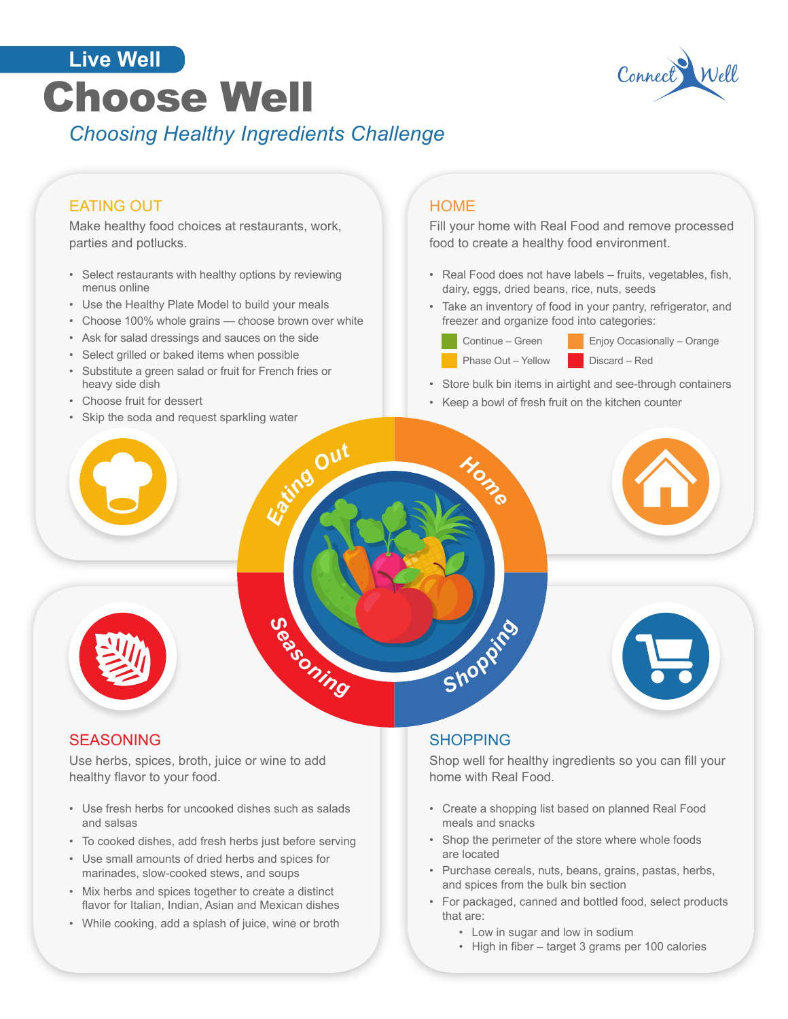# Choose Well Connect W *Choosing Healthy Ingredients Challenge* **Live Well**



### EATING OUT

Make healthy food choices at restaurants, work, parties and potlucks.

- Select restaurants with healthy options by reviewing menus online
- Use the Healthy Plate Model to build your meals
- Choose 100% whole grains choose brown over white
- Ask for salad dressings and sauces on the side
- Select grilled or baked items when possible
- Substitute a green salad or fruit for French fries or heavy side dish
- Choose fruit for dessert
- Skip the soda and request sparkling water

#### **HOME**

Fill your home with Real Food and remove processed food to create a healthy food environment.

- Real Food does not have labels fruits, vegetables, fish, dairy, eggs, dried beans, rice, nuts, seeds
- Take an inventory of food in your pantry, refrigerator, and freezer and organize food into categories:
	-

*Home*



- Store bulk bin items in airtight and see-through containers
- Keep a bowl of fresh fruit on the kitchen counter





#### SEASONING

Use herbs, spices, broth, juice or wine to add healthy flavor to your food.

*Seasoning*

*Eatin<sup>g</sup> <sup>O</sup>u<sup>t</sup>*

- Use fresh herbs for uncooked dishes such as salads and salsas
- To cooked dishes, add fresh herbs just before serving
- Use small amounts of dried herbs and spices for marinades, slow-cooked stews, and soups
- Mix herbs and spices together to create a distinct flavor for Italian, Indian, Asian and Mexican dishes
- While cooking, add a splash of juice, wine or broth

#### SHOPPING

*Shoppin<sup>g</sup>*

Shop well for healthy ingredients so you can fill your home with Real Food.

- Create a shopping list based on planned Real Food meals and snacks
- Shop the perimeter of the store where whole foods are located
- Purchase cereals, nuts, beans, grains, pastas, herbs, and spices from the bulk bin section
- For packaged, canned and bottled food, select products that are:
	- Low in sugar and low in sodium
	- High in fiber target 3 grams per 100 calories